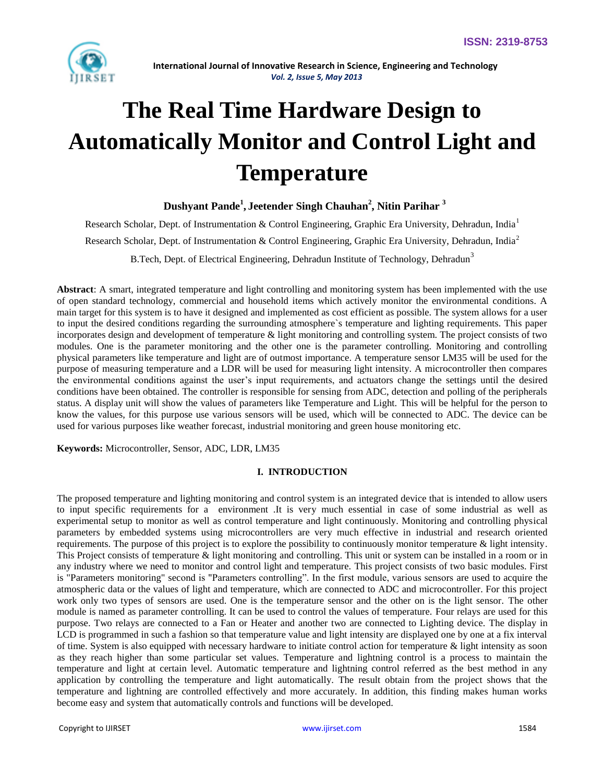

# **The Real Time Hardware Design to Automatically Monitor and Control Light and Temperature**

# **Dushyant Pande<sup>1</sup> , Jeetender Singh Chauhan<sup>2</sup> , Nitin Parihar <sup>3</sup>**

Research Scholar, Dept. of Instrumentation & Control Engineering, Graphic Era University, Dehradun, India<sup>1</sup> Rese[a](mailto:2)rch Scholar, Dept. of Instrumentation & Control Engineering, Graphic Era University, Dehradun, India<sup>2</sup> B.Tech, Dept. of Electrical Engineering, Dehradun Institute of Technology, Dehradun<sup>3</sup>

**Abstract**: A smart, integrated temperature and light controlling and monitoring system has been implemented with the use of open standard technology, commercial and household items which actively monitor the environmental conditions. A main target for this system is to have it designed and implemented as cost efficient as possible. The system allows for a user to input the desired conditions regarding the surrounding atmosphere`s temperature and lighting requirements. This paper incorporates design and development of temperature & light monitoring and controlling system. The project consists of two modules. One is the parameter monitoring and the other one is the parameter controlling. Monitoring and controlling physical parameters like temperature and light are of outmost importance. A temperature sensor LM35 will be used for the purpose of measuring temperature and a LDR will be used for measuring light intensity. A microcontroller then compares the environmental conditions against the user's input requirements, and actuators change the settings until the desired conditions have been obtained. The controller is responsible for sensing from ADC, detection and polling of the peripherals status. A display unit will show the values of parameters like Temperature and Light. This will be helpful for the person to know the values, for this purpose use various sensors will be used, which will be connected to ADC. The device can be used for various purposes like weather forecast, industrial monitoring and green house monitoring etc.

**Keywords:** Microcontroller, Sensor, ADC, LDR, LM35

# **I. INTRODUCTION**

The proposed temperature and lighting monitoring and control system is an integrated device that is intended to allow users to input specific requirements for a environment .It is very much essential in case of some industrial as well as experimental setup to monitor as well as control temperature and light continuously. Monitoring and controlling physical parameters by embedded systems using microcontrollers are very much effective in industrial and research oriented requirements. The purpose of this project is to explore the possibility to continuously monitor temperature & light intensity. This Project consists of temperature & light monitoring and controlling. This unit or system can be installed in a room or in any industry where we need to monitor and control light and temperature. This project consists of two basic modules. First is "Parameters monitoring" second is "Parameters controlling". In the first module, various sensors are used to acquire the atmospheric data or the values of light and temperature, which are connected to ADC and microcontroller. For this project work only two types of sensors are used. One is the temperature sensor and the other on is the light sensor. The other module is named as parameter controlling. It can be used to control the values of temperature. Four relays are used for this purpose. Two relays are connected to a Fan or Heater and another two are connected to Lighting device. The display in LCD is programmed in such a fashion so that temperature value and light intensity are displayed one by one at a fix interval of time. System is also equipped with necessary hardware to initiate control action for temperature  $\&$  light intensity as soon as they reach higher than some particular set values. Temperature and lightning control is a process to maintain the temperature and light at certain level. Automatic temperature and lightning control referred as the best method in any application by controlling the temperature and light automatically. The result obtain from the project shows that the temperature and lightning are controlled effectively and more accurately. In addition, this finding makes human works become easy and system that automatically controls and functions will be developed.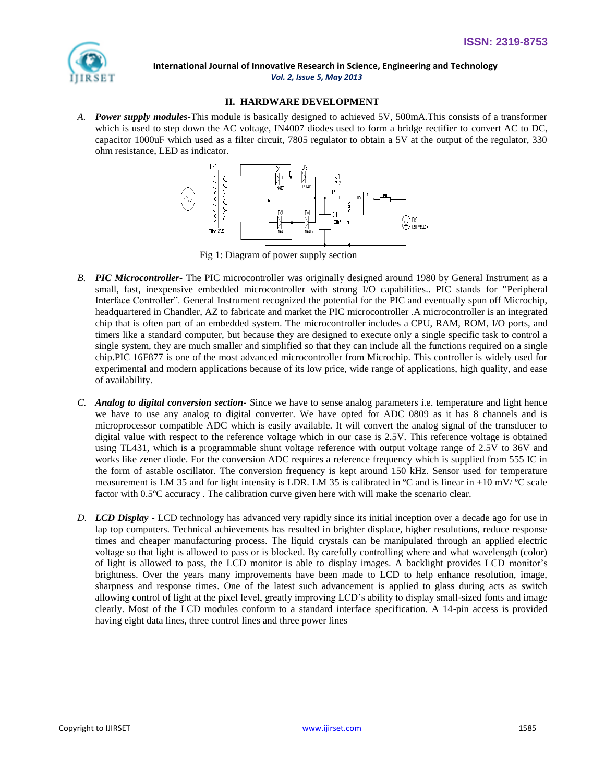

# **II. HARDWARE DEVELOPMENT**

*A. Power supply modules-*This module is basically designed to achieved 5V, 500mA.This consists of a transformer which is used to step down the AC voltage, IN4007 diodes used to form a bridge rectifier to convert AC to DC, capacitor 1000uF which used as a filter circuit, 7805 regulator to obtain a 5V at the output of the regulator, 330 ohm resistance, LED as indicator.



Fig 1: Diagram of power supply section

- *B. PIC Microcontroller-* The PIC microcontroller was originally designed around 1980 by General Instrument as a small, fast, inexpensive embedded microcontroller with strong I/O capabilities.. PIC stands for "Peripheral Interface Controller". General Instrument recognized the potential for the PIC and eventually spun off Microchip, headquartered in Chandler, AZ to fabricate and market the PIC microcontroller .A microcontroller is an integrated chip that is often part of an embedded system. The microcontroller includes a CPU, RAM, ROM, I/O ports, and timers like a standard computer, but because they are designed to execute only a single specific task to control a single system, they are much smaller and simplified so that they can include all the functions required on a single chip.PIC 16F877 is one of the most advanced microcontroller from Microchip. This controller is widely used for experimental and modern applications because of its low price, wide range of applications, high quality, and ease of availability.
- *C. Analog to digital conversion section-* Since we have to sense analog parameters i.e. temperature and light hence we have to use any analog to digital converter. We have opted for ADC 0809 as it has 8 channels and is microprocessor compatible ADC which is easily available. It will convert the analog signal of the transducer to digital value with respect to the reference voltage which in our case is 2.5V. This reference voltage is obtained using TL431, which is a programmable shunt voltage reference with output voltage range of 2.5V to 36V and works like zener diode. For the conversion ADC requires a reference frequency which is supplied from 555 IC in the form of astable oscillator. The conversion frequency is kept around 150 kHz. Sensor used for temperature measurement is LM 35 and for light intensity is LDR. LM 35 is calibrated in  $^{\circ}$ C and is linear in +10 mV/ $^{\circ}$ C scale factor with 0.5ºC accuracy . The calibration curve given here with will make the scenario clear.
- *D. LCD Display* **-** LCD technology has advanced very rapidly since its initial inception over a decade ago for use in lap top computers. Technical achievements has resulted in brighter displace, higher resolutions, reduce response times and cheaper manufacturing process. The liquid crystals can be manipulated through an applied electric voltage so that light is allowed to pass or is blocked. By carefully controlling where and what wavelength (color) of light is allowed to pass, the LCD monitor is able to display images. A backlight provides LCD monitor's brightness. Over the years many improvements have been made to LCD to help enhance resolution, image, sharpness and response times. One of the latest such advancement is applied to glass during acts as switch allowing control of light at the pixel level, greatly improving LCD's ability to display small-sized fonts and image clearly. Most of the LCD modules conform to a standard interface specification. A 14-pin access is provided having eight data lines, three control lines and three power lines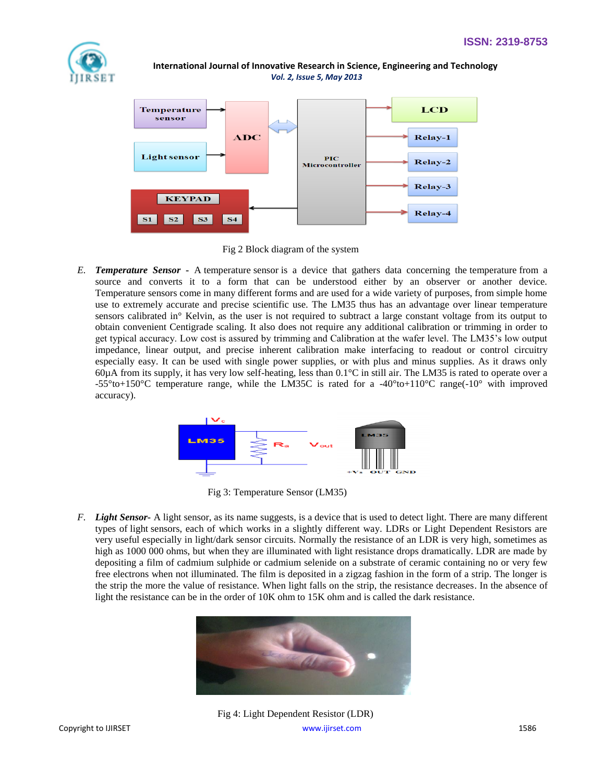



Fig 2 Block diagram of the system

*E. Temperature Sensor* **-** A temperature sensor is a device that gathers data concerning the temperature from a source and converts it to a form that can be understood either by an observer or another device. Temperature sensors come in many different forms and are used for a wide variety of purposes, from simple home use to extremely accurate and precise scientific use. The LM35 thus has an advantage over linear temperature sensors calibrated in° Kelvin, as the user is not required to subtract a large constant voltage from its output to obtain convenient Centigrade scaling. It also does not require any additional calibration or trimming in order to get typical accuracy. Low cost is assured by trimming and Calibration at the wafer level. The LM35's low output impedance, linear output, and precise inherent calibration make interfacing to readout or control circuitry especially easy. It can be used with single power supplies, or with plus and minus supplies. As it draws only  $60\mu\text{A}$  from its supply, it has very low self-heating, less than  $0.1\text{°C}$  in still air. The LM35 is rated to operate over a -55°to+150°C temperature range, while the LM35C is rated for a -40°to+110°C range(-10° with improved accuracy).



Fig 3: Temperature Sensor (LM35)

*F. Light Sensor***-** A light sensor, as its name suggests, is a device that is used to detect light. There are many different types of light sensors, each of which works in a slightly different way. LDRs or Light Dependent Resistors are very useful especially in light/dark sensor circuits. Normally the resistance of an LDR is very high, sometimes as high as 1000 000 ohms, but when they are illuminated with light resistance drops dramatically. LDR are made by depositing a film of cadmium sulphide or cadmium selenide on a substrate of ceramic containing no or very few free electrons when not illuminated. The film is deposited in a zigzag fashion in the form of a strip. The longer is the strip the more the value of resistance. When light falls on the strip, the resistance decreases. In the absence of light the resistance can be in the order of 10K ohm to 15K ohm and is called the dark resistance.



Fig 4: Light Dependent Resistor (LDR)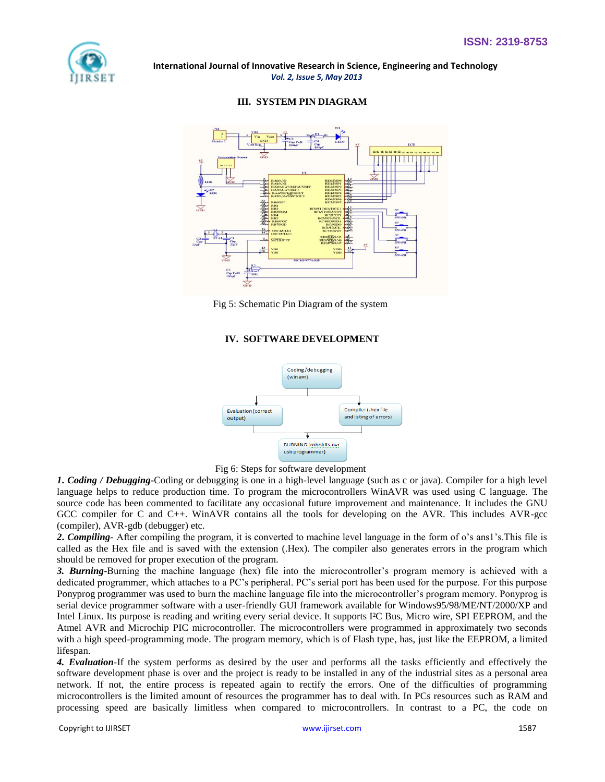

## **III. SYSTEM PIN DIAGRAM**



Fig 5: Schematic Pin Diagram of the system

# **IV. SOFTWARE DEVELOPMENT**





*1***.** *Coding / Debugging***-**Coding or debugging is one in a high-level language (such as c or java). Compiler for a high level language helps to reduce production time. To program the microcontrollers WinAVR was used using C language. The source code has been commented to facilitate any occasional future improvement and maintenance. It includes the GNU GCC compiler for C and C++. WinAVR contains all the tools for developing on the AVR. This includes AVR-gcc (compiler), AVR-gdb (debugger) etc.

*2***.** *Compiling-* After compiling the program, it is converted to machine level language in the form of o's ans1's.This file is called as the Hex file and is saved with the extension (.Hex). The compiler also generates errors in the program which should be removed for proper execution of the program.

*3. Burning*-Burning the machine language (hex) file into the microcontroller's program memory is achieved with a dedicated programmer, which attaches to a PC's peripheral. PC's serial port has been used for the purpose. For this purpose Ponyprog programmer was used to burn the machine language file into the microcontroller's program memory. Ponyprog is serial device programmer software with a user-friendly GUI framework available for Windows95/98/ME/NT/2000/XP and Intel Linux. Its purpose is reading and writing every serial device. It supports I²C Bus, Micro wire, SPI EEPROM, and the Atmel AVR and Microchip PIC microcontroller. The microcontrollers were programmed in approximately two seconds with a high speed-programming mode. The program memory, which is of Flash type, has, just like the EEPROM, a limited lifespan.

*4. Evaluation-*If the system performs as desired by the user and performs all the tasks efficiently and effectively the software development phase is over and the project is ready to be installed in any of the industrial sites as a personal area network. If not, the entire process is repeated again to rectify the errors. One of the difficulties of programming microcontrollers is the limited amount of resources the programmer has to deal with. In PCs resources such as RAM and processing speed are basically limitless when compared to microcontrollers. In contrast to a PC, the code on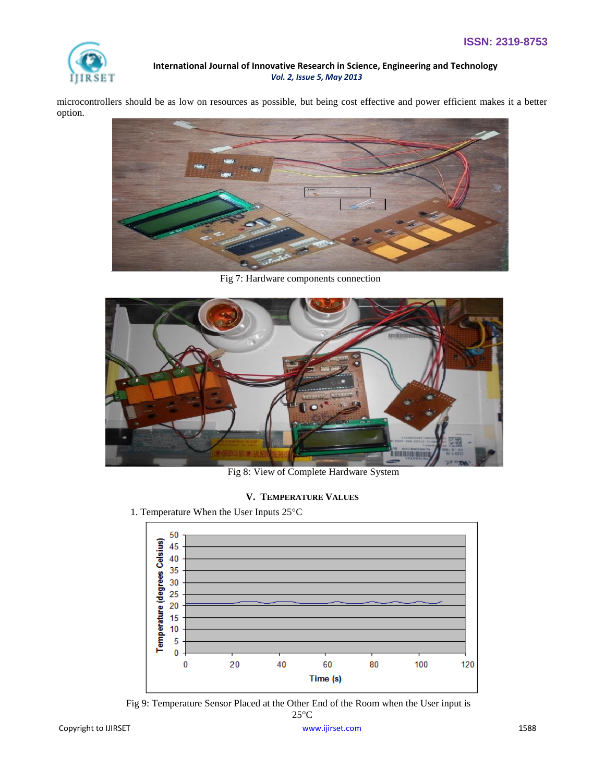

microcontrollers should be as low on resources as possible, but being cost effective and power efficient makes it a better option.



Fig 7: Hardware components connection



Fig 8: View of Complete Hardware System

# **V. TEMPERATURE VALUES**

1. Temperature When the User Inputs 25°C



 Fig 9: Temperature Sensor Placed at the Other End of the Room when the User input is  $25^{\circ}$ C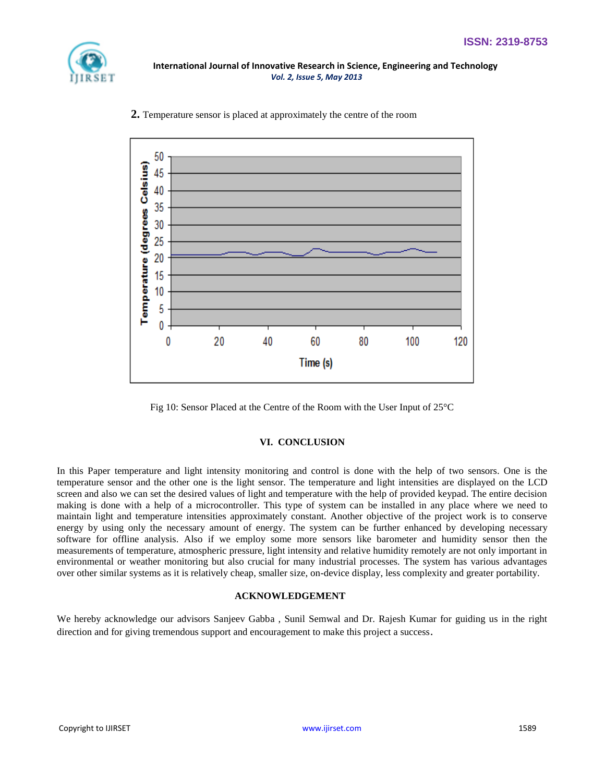



 **2.** Temperature sensor is placed at approximately the centre of the room



#### **VI. CONCLUSION**

In this Paper temperature and light intensity monitoring and control is done with the help of two sensors. One is the temperature sensor and the other one is the light sensor. The temperature and light intensities are displayed on the LCD screen and also we can set the desired values of light and temperature with the help of provided keypad. The entire decision making is done with a help of a microcontroller. This type of system can be installed in any place where we need to maintain light and temperature intensities approximately constant. Another objective of the project work is to conserve energy by using only the necessary amount of energy. The system can be further enhanced by developing necessary software for offline analysis. Also if we employ some more sensors like barometer and humidity sensor then the measurements of temperature, atmospheric pressure, light intensity and relative humidity remotely are not only important in environmental or weather monitoring but also crucial for many industrial processes. The system has various advantages over other similar systems as it is relatively cheap, smaller size, on-device display, less complexity and greater portability.

#### **ACKNOWLEDGEMENT**

We hereby acknowledge our advisors Sanjeev Gabba , Sunil Semwal and Dr. Rajesh Kumar for guiding us in the right direction and for giving tremendous support and encouragement to make this project a success.